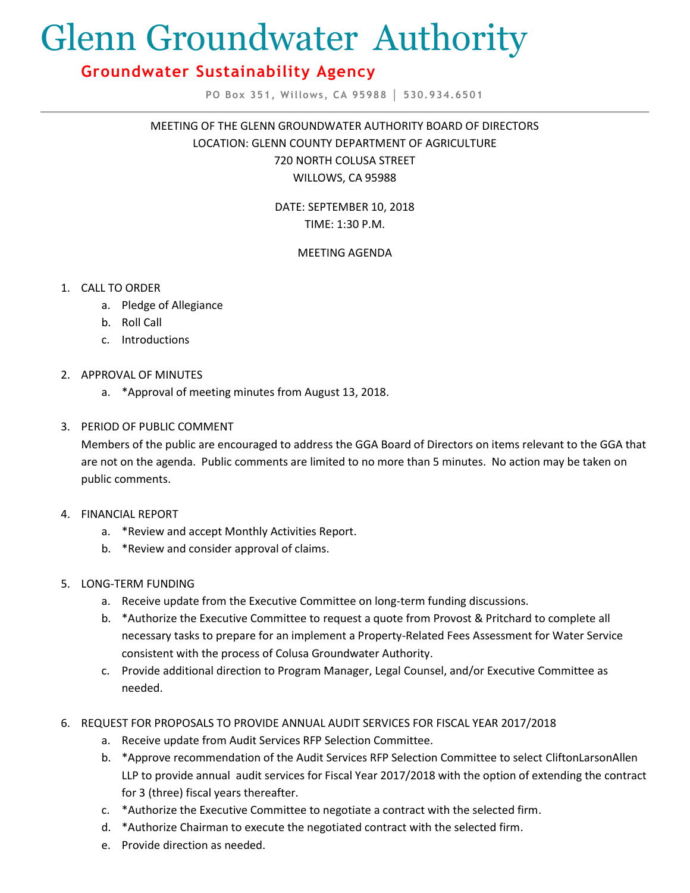# Glenn Groundwater Authority

## **Groundwater Sustainability Agency**

**PO Box 351, Willows, CA 95988 │ 530.934.6501**

MEETING OF THE GLENN GROUNDWATER AUTHORITY BOARD OF DIRECTORS LOCATION: GLENN COUNTY DEPARTMENT OF AGRICULTURE 720 NORTH COLUSA STREET WILLOWS, CA 95988

> DATE: SEPTEMBER 10, 2018 TIME: 1:30 P.M.

### MEETING AGENDA

- 1. CALL TO ORDER
	- a. Pledge of Allegiance
	- b. Roll Call
	- c. Introductions
- 2. APPROVAL OF MINUTES
	- a. \*Approval of meeting minutes from August 13, 2018.
- 3. PERIOD OF PUBLIC COMMENT

Members of the public are encouraged to address the GGA Board of Directors on items relevant to the GGA that are not on the agenda. Public comments are limited to no more than 5 minutes. No action may be taken on public comments.

- 4. FINANCIAL REPORT
	- a. \*Review and accept Monthly Activities Report.
	- b. \*Review and consider approval of claims.
- 5. LONG-TERM FUNDING
	- a. Receive update from the Executive Committee on long-term funding discussions.
	- b. \*Authorize the Executive Committee to request a quote from Provost & Pritchard to complete all necessary tasks to prepare for an implement a Property-Related Fees Assessment for Water Service consistent with the process of Colusa Groundwater Authority.
	- c. Provide additional direction to Program Manager, Legal Counsel, and/or Executive Committee as needed.
- 6. REQUEST FOR PROPOSALS TO PROVIDE ANNUAL AUDIT SERVICES FOR FISCAL YEAR 2017/2018
	- a. Receive update from Audit Services RFP Selection Committee.
	- b. \*Approve recommendation of the Audit Services RFP Selection Committee to select CliftonLarsonAllen LLP to provide annual audit services for Fiscal Year 2017/2018 with the option of extending the contract for 3 (three) fiscal years thereafter.
	- c. \*Authorize the Executive Committee to negotiate a contract with the selected firm.
	- d. \*Authorize Chairman to execute the negotiated contract with the selected firm.
	- e. Provide direction as needed.